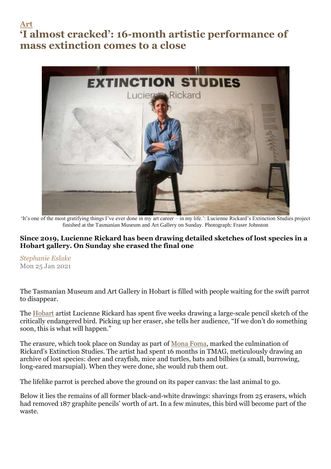## **[Art](https://www.theguardian.com/artanddesign/art) 'I almost cracked': 16-month artistic performance of mass extinction comes to a close**



'It's one of the most gratifying things I've ever done in my art career – in my life.': Lucienne Rickard's Extinction Studies project finished at the Tasmanian Museum and Art Gallery on Sunday. Photograph: Fraser Johnston

## **Since 2019, Lucienne Rickard has been drawing detailed sketches of lost species in a Hobart gallery. On Sunday she erased the final one**

*Stephanie Eslake* Mon 25 Jan 2021

The Tasmanian Museum and Art Gallery in Hobart is filled with people waiting for the swift parrot to disappear.

The [Hobart](https://www.theguardian.com/australia-news/hobart) artist Lucienne Rickard has spent five weeks drawing a large-scale pencil sketch of the critically endangered bird. Picking up her eraser, she tells her audience, "If we don't do something soon, this is what will happen."

The erasure, which took place on Sunday as part of [Mona Foma,](https://www.theguardian.com/artanddesign/2021/jan/18/mona-foma-2021-summer-festival-skimps-on-shock-and-awe-to-thrust-tasmanian-music-and-art-into-limelight) marked the culmination of Rickard's Extinction Studies. The artist had spent 16 months in TMAG, meticulously drawing an archive of lost species: deer and crayfish, mice and turtles, bats and bilbies (a small, burrowing, long-eared marsupial). When they were done, she would rub them out.

The lifelike parrot is perched above the ground on its paper canvas: the last animal to go.

Below it lies the remains of all former black-and-white drawings: shavings from 25 erasers, which had removed 187 graphite pencils' worth of art. In a few minutes, this bird will become part of the waste.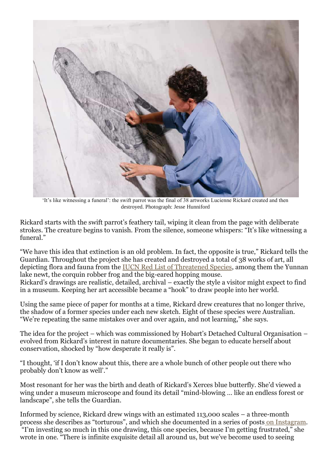

'It's like witnessing a funeral': the swift parrot was the final of 38 artworks Lucienne Rickard created and then destroyed. Photograph: Jesse Hunniford

Rickard starts with the swift parrot's feathery tail, wiping it clean from the page with deliberate strokes. The creature begins to vanish. From the silence, someone whispers: "It's like witnessing a funeral."

"We have this idea that extinction is an old problem. In fact, the opposite is true," Rickard tells the Guardian. Throughout the project she has created and destroyed a total of 38 works of art, all depicting flora and fauna from the [IUCN Red List of Threatened Species,](https://www.iucnredlist.org/) among them the Yunnan lake newt, the corquin robber frog and the big-eared hopping mouse. Rickard's drawings are realistic, detailed, archival – exactly the style a visitor might expect to find in a museum. Keeping her art accessible became a "hook" to draw people into her world.

Using the same piece of paper for months at a time, Rickard drew creatures that no longer thrive, the shadow of a former species under each new sketch. Eight of these species were Australian. "We're repeating the same mistakes over and over again, and not learning," she says.

The idea for the project – which was commissioned by Hobart's Detached Cultural Organisation – evolved from Rickard's interest in nature documentaries. She began to educate herself about conservation, shocked by "how desperate it really is".

"I thought, 'if I don't know about this, there are a whole bunch of other people out there who probably don't know as well'."

Most resonant for her was the birth and death of Rickard's Xerces blue butterfly. She'd viewed a wing under a museum microscope and found its detail "mind-blowing … like an endless forest or landscape", she tells the Guardian.

Informed by science, Rickard drew wings with an estimated 113,000 scales – a three-month process she describes as "torturous", and which she documented in a series of posts [on Instagram.](https://www.instagram.com/luciennerickard/?hl=en) "I'm investing so much in this one drawing, this one species, because I'm getting frustrated," she wrote in one. "There is infinite exquisite detail all around us, but we've become used to seeing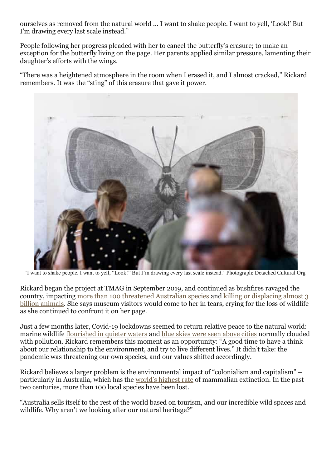ourselves as removed from the natural world ... I want to shake people. I want to yell, 'Look!' But I'm drawing every last scale instead."

People following her progress pleaded with her to cancel the butterfly's erasure; to make an exception for the butterfly living on the page. Her parents applied similar pressure, lamenting their daughter's efforts with the wings.

"There was a heightened atmosphere in the room when I erased it, and I almost cracked," Rickard remembers. It was the "sting" of this erasure that gave it power.



'I want to shake people. I want to yell, "Look!" But I'm drawing every last scale instead.' Photograph: Detached Cultural Org

Rickard began the project at TMAG in September 2019, and continued as bushfires ravaged the country, impacting [more than 100 threatened Australian species](https://www.theguardian.com/environment/2020/jan/20/more-than-100-threatened-species-australian-bushfires-towards-extinction#:~:text=1%20year%20old-,More%20than%20100%20threatened%20species%20hit%20hard,bushfires%2C%20pushing%20many%20towards%20extinction&text=The%20worst%20affected%20mammal%20is,160km%20long%20South%20Australian%20island) and [killing or displacing almost 3](https://www.theguardian.com/environment/2020/jul/28/almost-3-billion-animals-affected-by-australian-megafires-report-shows-aoe)  [billion animals.](https://www.theguardian.com/environment/2020/jul/28/almost-3-billion-animals-affected-by-australian-megafires-report-shows-aoe) She says museum visitors would come to her in tears, crying for the loss of wildlife as she continued to confront it on her page.

Just a few months later, Covid-19 lockdowns seemed to return relative peace to the natural world: marine wildlife [flourished in quieter waters](https://www.theguardian.com/environment/2020/apr/27/silence-is-golden-for-whales-as-lockdown-reduces-ocean-noise-coronavirus) and [blue skies were seen above cities](https://www.theguardian.com/environment/2020/jun/07/blue-sky-thinking-how-cities-can-keep-air-clean-after-coronavirus) normally clouded with pollution. Rickard remembers this moment as an opportunity: "A good time to have a think about our relationship to the environment, and try to live different lives." It didn't take: the pandemic was threatening our own species, and our values shifted accordingly.

Rickard believes a larger problem is the environmental impact of "colonialism and capitalism" – particularly in Australia, which has the [world's highest rate](https://www.theguardian.com/environment/2018/feb/13/a-national-disgrace-australias-extinction-crisis-is-unfolding-in-plain-sight) of mammalian extinction. In the past two centuries, more than 100 local species have been lost.

"Australia sells itself to the rest of the world based on tourism, and our incredible wild spaces and wildlife. Why aren't we looking after our natural heritage?"